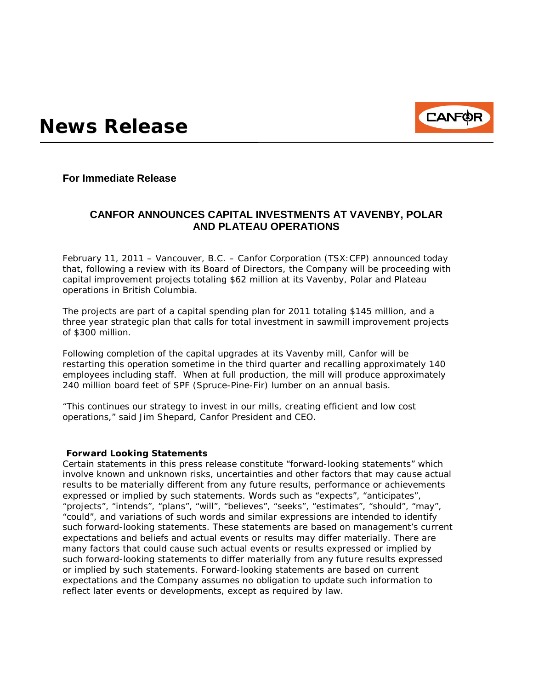

**For Immediate Release**

## **CANFOR ANNOUNCES CAPITAL INVESTMENTS AT VAVENBY, POLAR AND PLATEAU OPERATIONS**

February 11, 2011 – Vancouver, B.C. – Canfor Corporation (TSX:CFP) announced today that, following a review with its Board of Directors, the Company will be proceeding with capital improvement projects totaling \$62 million at its Vavenby, Polar and Plateau operations in British Columbia.

The projects are part of a capital spending plan for 2011 totaling \$145 million, and a three year strategic plan that calls for total investment in sawmill improvement projects of \$300 million.

Following completion of the capital upgrades at its Vavenby mill, Canfor will be restarting this operation sometime in the third quarter and recalling approximately 140 employees including staff. When at full production, the mill will produce approximately 240 million board feet of SPF (Spruce-Pine-Fir) lumber on an annual basis.

"This continues our strategy to invest in our mills, creating efficient and low cost operations," said Jim Shepard, Canfor President and CEO.

## **Forward Looking Statements**

Certain statements in this press release constitute "forward-looking statements" which involve known and unknown risks, uncertainties and other factors that may cause actual results to be materially different from any future results, performance or achievements expressed or implied by such statements. Words such as "expects", "anticipates", "projects", "intends", "plans", "will", "believes", "seeks", "estimates", "should", "may", "could", and variations of such words and similar expressions are intended to identify such forward-looking statements. These statements are based on management's current expectations and beliefs and actual events or results may differ materially. There are many factors that could cause such actual events or results expressed or implied by such forward-looking statements to differ materially from any future results expressed or implied by such statements. Forward-looking statements are based on current expectations and the Company assumes no obligation to update such information to reflect later events or developments, except as required by law.